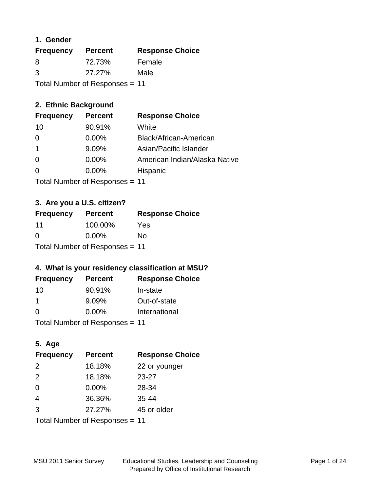## **1. Gender**

| <b>Frequency</b>               | <b>Percent</b> | <b>Response Choice</b> |
|--------------------------------|----------------|------------------------|
| 8                              | 72.73%         | Female                 |
| 3                              | 27.27%         | Male                   |
| Total Number of Responses = 11 |                |                        |

## **2. Ethnic Background**

| <b>Frequency</b> | <b>Percent</b> | <b>Response Choice</b>        |
|------------------|----------------|-------------------------------|
| 10               | 90.91%         | White                         |
| 0                | $0.00\%$       | Black/African-American        |
|                  | 9.09%          | Asian/Pacific Islander        |
| $\Omega$         | $0.00\%$       | American Indian/Alaska Native |
|                  | 0.00%          | Hispanic                      |
|                  |                |                               |

Total Number of Responses = 11

## **3. Are you a U.S. citizen?**

| <b>Frequency</b>               | <b>Percent</b> | <b>Response Choice</b> |
|--------------------------------|----------------|------------------------|
| 11                             | 100.00%        | Yes                    |
| $\Omega$                       | $0.00\%$       | Nο                     |
| Total Number of Responses = 11 |                |                        |

## **4. What is your residency classification at MSU?**

| <b>Frequency</b> | <b>Percent</b> | <b>Response Choice</b> |
|------------------|----------------|------------------------|
| 10               | 90.91%         | In-state               |
|                  | 9.09%          | Out-of-state           |
| $\Omega$         | 0.00%          | International          |
|                  |                |                        |

Total Number of Responses = 11

## **5. Age**

| <b>Frequency</b>               | <b>Percent</b> | <b>Response Choice</b> |
|--------------------------------|----------------|------------------------|
| 2                              | 18.18%         | 22 or younger          |
| 2                              | 18.18%         | 23-27                  |
| $\Omega$                       | 0.00%          | 28-34                  |
| $\overline{4}$                 | 36.36%         | $35 - 44$              |
| 3                              | 27.27%         | 45 or older            |
| Total Number of Responses = 11 |                |                        |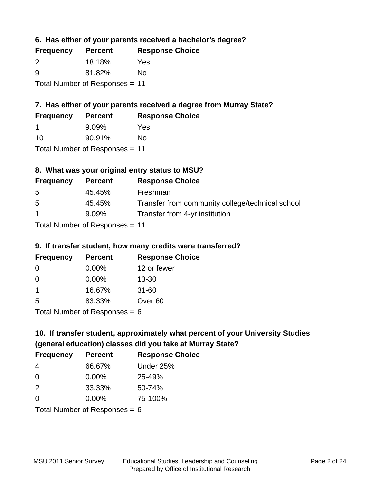**6. Has either of your parents received a bachelor's degree?**

| <b>Frequency</b> | <b>Percent</b>                 | <b>Response Choice</b> |
|------------------|--------------------------------|------------------------|
| $\mathcal{P}$    | 18.18%                         | Yes                    |
| 9                | 81.82%                         | No                     |
|                  | Total Number of Responses = 11 |                        |

## **7. Has either of your parents received a degree from Murray State?**

| <b>Frequency</b> | <b>Percent</b> | <b>Response Choice</b> |
|------------------|----------------|------------------------|
|                  | 9.09%          | Yes                    |
| -10              | 90.91%         | No.                    |

Total Number of Responses = 11

## **8. What was your original entry status to MSU?**

| <b>Frequency</b>                | <b>Percent</b> | <b>Response Choice</b>                           |
|---------------------------------|----------------|--------------------------------------------------|
| 5                               | 45.45%         | Freshman                                         |
| 5                               | 45.45%         | Transfer from community college/technical school |
| $\mathbf 1$                     | 9.09%          | Transfer from 4-yr institution                   |
| $Total Number of Doeponee = 11$ |                |                                                  |

Total Number of Responses = 11

### **9. If transfer student, how many credits were transferred?**

| <b>Frequency</b>           | <b>Percent</b> | <b>Response Choice</b> |
|----------------------------|----------------|------------------------|
| -0                         | $0.00\%$       | 12 or fewer            |
| 0                          | $0.00\%$       | $13 - 30$              |
| 1                          | 16.67%         | $31 - 60$              |
| -5                         | 83.33%         | Over <sub>60</sub>     |
| Total Number of Deepersoon |                |                        |

I otal Number of Responses  $= 6$ 

# **10. If transfer student, approximately what percent of your University Studies (general education) classes did you take at Murray State?**

| <b>Frequency</b>              | <b>Percent</b> | <b>Response Choice</b> |
|-------------------------------|----------------|------------------------|
| -4                            | 66.67%         | Under 25%              |
| $\Omega$                      | $0.00\%$       | 25-49%                 |
| 2                             | 33.33%         | 50-74%                 |
| $\Omega$                      | $0.00\%$       | 75-100%                |
| $Total Number of Denance = 6$ |                |                        |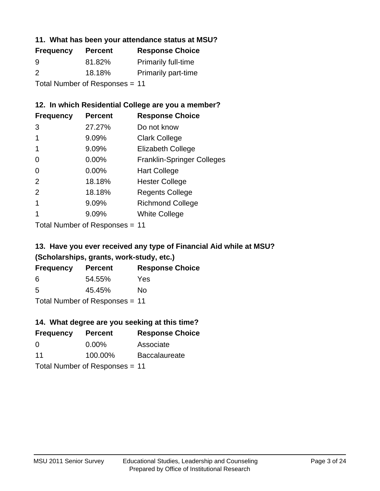## **11. What has been your attendance status at MSU?**

| <b>Frequency</b>               | <b>Percent</b> | <b>Response Choice</b>     |
|--------------------------------|----------------|----------------------------|
| 9                              | 81.82%         | <b>Primarily full-time</b> |
| $\mathcal{P}$                  | 18.18%         | <b>Primarily part-time</b> |
| Total Number of Responses = 11 |                |                            |

## **12. In which Residential College are you a member?**

| <b>Frequency</b> | <b>Percent</b> | <b>Response Choice</b>            |
|------------------|----------------|-----------------------------------|
| 3                | 27.27%         | Do not know                       |
| 1                | 9.09%          | <b>Clark College</b>              |
| 1                | 9.09%          | <b>Elizabeth College</b>          |
| $\Omega$         | 0.00%          | <b>Franklin-Springer Colleges</b> |
| 0                | 0.00%          | <b>Hart College</b>               |
| 2                | 18.18%         | <b>Hester College</b>             |
| 2                | 18.18%         | <b>Regents College</b>            |
|                  | 9.09%          | <b>Richmond College</b>           |
|                  | 9.09%          | <b>White College</b>              |
|                  |                |                                   |

Total Number of Responses = 11

## **13. Have you ever received any type of Financial Aid while at MSU? (Scholarships, grants, work-study, etc.)**

| <b>Frequency</b> | <b>Percent</b>                 | <b>Response Choice</b> |
|------------------|--------------------------------|------------------------|
| 6                | 54.55%                         | Yes                    |
| 5                | 45.45%                         | Nο                     |
|                  | Total Number of Poenances - 11 |                        |

Total Number of Responses = 11

## **14. What degree are you seeking at this time?**

| <b>Frequency</b> | <b>Percent</b>                 | <b>Response Choice</b> |
|------------------|--------------------------------|------------------------|
| 0                | $0.00\%$                       | Associate              |
| 11               | 100.00%                        | <b>Baccalaureate</b>   |
|                  | Total Number of Responses = 11 |                        |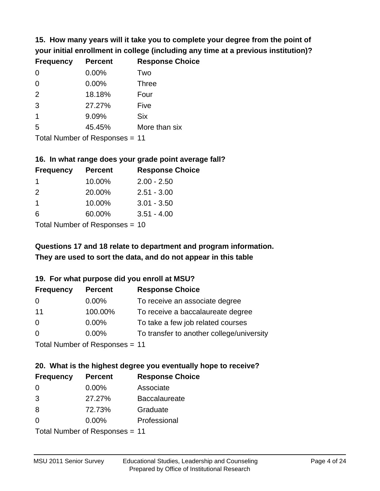**15. How many years will it take you to complete your degree from the point of your initial enrollment in college (including any time at a previous institution)?**

| <b>Frequency</b> | <b>Percent</b> | <b>Response Choice</b> |
|------------------|----------------|------------------------|
| $\Omega$         | 0.00%          | Two                    |
| 0                | 0.00%          | <b>Three</b>           |
| 2                | 18.18%         | Four                   |
| 3                | 27.27%         | Five                   |
| 1                | 9.09%          | <b>Six</b>             |
| 5                | 45.45%         | More than six          |
|                  |                |                        |

Total Number of Responses = 11

#### **16. In what range does your grade point average fall?**

| <b>Frequency</b> | <b>Percent</b>                         | <b>Response Choice</b> |
|------------------|----------------------------------------|------------------------|
|                  | 10.00%                                 | $2.00 - 2.50$          |
| $\mathcal{P}$    | 20.00%                                 | $2.51 - 3.00$          |
| 1.               | 10.00%                                 | $3.01 - 3.50$          |
| 6                | 60.00%                                 | $3.51 - 4.00$          |
|                  | $\mathbf{r}$ . The set of $\mathbf{r}$ |                        |

Total Number of Responses = 10

## **They are used to sort the data, and do not appear in this table Questions 17 and 18 relate to department and program information.**

### **19. For what purpose did you enroll at MSU?**

| <b>Frequency</b> | <b>Percent</b>                 | <b>Response Choice</b>                    |
|------------------|--------------------------------|-------------------------------------------|
| 0                | $0.00\%$                       | To receive an associate degree            |
| 11               | 100.00%                        | To receive a baccalaureate degree         |
| $\overline{0}$   | $0.00\%$                       | To take a few job related courses         |
| $\Omega$         | $0.00\%$                       | To transfer to another college/university |
|                  | Total Number of Responses = 11 |                                           |

# **20. What is the highest degree you eventually hope to receive?**

| <b>Frequency</b> | <b>Percent</b>             | <b>Response Choice</b> |
|------------------|----------------------------|------------------------|
| 0                | 0.00%                      | Associate              |
| 3                | 27.27%                     | <b>Baccalaureate</b>   |
| 8                | 72.73%                     | Graduate               |
| $\Omega$         | 0.00%                      | Professional           |
|                  | Total Number of Desperance |                        |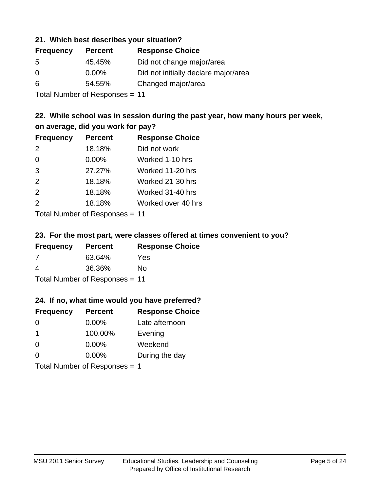### **21. Which best describes your situation?**

| <b>Frequency</b> | <b>Percent</b> | <b>Response Choice</b>               |
|------------------|----------------|--------------------------------------|
| -5               | 45.45%         | Did not change major/area            |
| $\Omega$         | $0.00\%$       | Did not initially declare major/area |
| 6                | 54.55%         | Changed major/area                   |
|                  |                |                                      |

Total Number of Responses = 11

## **22. While school was in session during the past year, how many hours per week, on average, did you work for pay?**

| <b>Frequency</b> | <b>Percent</b> | <b>Response Choice</b> |
|------------------|----------------|------------------------|
| 2                | 18.18%         | Did not work           |
| $\Omega$         | 0.00%          | Worked 1-10 hrs        |
| 3                | 27.27%         | Worked 11-20 hrs       |
| 2                | 18.18%         | Worked 21-30 hrs       |
| 2                | 18.18%         | Worked 31-40 hrs       |
| 2                | 18.18%         | Worked over 40 hrs     |
|                  |                |                        |

Total Number of Responses = 11

### **23. For the most part, were classes offered at times convenient to you?**

| <b>Frequency</b>               | <b>Percent</b> | <b>Response Choice</b> |
|--------------------------------|----------------|------------------------|
| -7                             | 63.64%         | Yes                    |
| 4                              | 36.36%         | Nο                     |
| Total Number of Responses = 11 |                |                        |

### **24. If no, what time would you have preferred?**

| <b>Frequency</b> | <b>Percent</b>                | <b>Response Choice</b> |
|------------------|-------------------------------|------------------------|
| $\Omega$         | $0.00\%$                      | Late afternoon         |
| -1               | 100.00%                       | Evening                |
| 0                | $0.00\%$                      | Weekend                |
| $\Omega$         | $0.00\%$                      | During the day         |
|                  | Total Number of Responses = 1 |                        |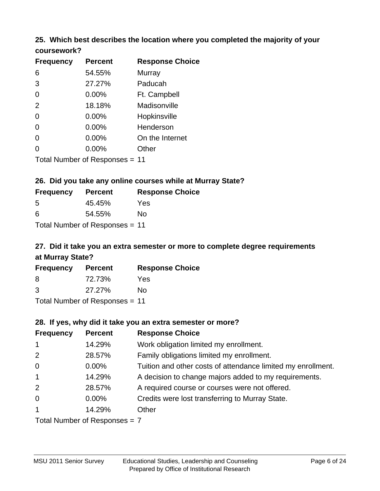### **25. Which best describes the location where you completed the majority of your coursework?**

| <b>Frequency</b> | <b>Percent</b>                 | <b>Response Choice</b> |
|------------------|--------------------------------|------------------------|
| 6                | 54.55%                         | Murray                 |
| 3                | 27.27%                         | Paducah                |
| 0                | 0.00%                          | Ft. Campbell           |
| 2                | 18.18%                         | Madisonville           |
| 0                | 0.00%                          | Hopkinsville           |
| 0                | 0.00%                          | Henderson              |
| 0                | 0.00%                          | On the Internet        |
| 0                | 0.00%                          | Other                  |
|                  | Total Number of Responses = 11 |                        |

#### **26. Did you take any online courses while at Murray State? Frequency Percent Response Choice**

| . | .                              | . <u>.</u> |
|---|--------------------------------|------------|
| 5 | 45.45%                         | Yes        |
| 6 | 54.55%                         | Nο         |
|   | Total Number of Responses = 11 |            |

## **27. Did it take you an extra semester or more to complete degree requirements at Murray State?**

| <b>Frequency</b>           | <b>Percent</b> | <b>Response Choice</b> |
|----------------------------|----------------|------------------------|
| 8                          | 72.73%         | Yes                    |
| 3                          | 27.27%         | Nο                     |
| Tatal Marchan of Daguarage |                |                        |

Total Number of Responses = 11

### **28. If yes, why did it take you an extra semester or more?**

| <b>Frequency</b> | <b>Percent</b>                | <b>Response Choice</b>                                       |
|------------------|-------------------------------|--------------------------------------------------------------|
| $\mathbf{1}$     | 14.29%                        | Work obligation limited my enrollment.                       |
| 2                | 28.57%                        | Family obligations limited my enrollment.                    |
| $\mathbf 0$      | $0.00\%$                      | Tuition and other costs of attendance limited my enrollment. |
| $\mathbf{1}$     | 14.29%                        | A decision to change majors added to my requirements.        |
| 2                | 28.57%                        | A required course or courses were not offered.               |
| $\overline{0}$   | $0.00\%$                      | Credits were lost transferring to Murray State.              |
| $\mathbf{1}$     | 14.29%                        | Other                                                        |
|                  | Total Number of Poenances - 7 |                                                              |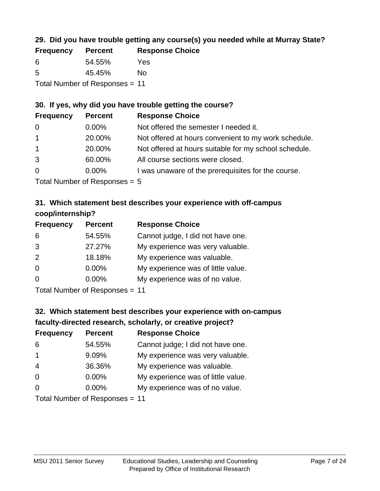## **29. Did you have trouble getting any course(s) you needed while at Murray State?**

| <b>Frequency</b>               | <b>Percent</b> | <b>Response Choice</b> |  |
|--------------------------------|----------------|------------------------|--|
| -6                             | 54.55%         | Yes                    |  |
| -5                             | 45.45%         | Nο                     |  |
| Total Number of Responses = 11 |                |                        |  |

### **30. If yes, why did you have trouble getting the course?**

| <b>Frequency</b> | <b>Percent</b> | <b>Response Choice</b>                                |
|------------------|----------------|-------------------------------------------------------|
| $\overline{0}$   | $0.00\%$       | Not offered the semester I needed it.                 |
| $\mathbf{1}$     | 20.00%         | Not offered at hours convenient to my work schedule.  |
| $\overline{1}$   | 20.00%         | Not offered at hours suitable for my school schedule. |
| 3                | 60.00%         | All course sections were closed.                      |
| $\overline{0}$   | $0.00\%$       | I was unaware of the prerequisites for the course.    |
|                  |                |                                                       |

Total Number of Responses = 5

## **31. Which statement best describes your experience with off-campus coop/internship?**

| <b>Frequency</b> | <b>Percent</b> | <b>Response Choice</b>             |
|------------------|----------------|------------------------------------|
| 6                | 54.55%         | Cannot judge, I did not have one.  |
| 3                | 27.27%         | My experience was very valuable.   |
| 2                | 18.18%         | My experience was valuable.        |
| $\Omega$         | $0.00\%$       | My experience was of little value. |
| $\Omega$         | 0.00%          | My experience was of no value.     |
|                  |                |                                    |

Total Number of Responses = 11

# **32. Which statement best describes your experience with on-campus faculty-directed research, scholarly, or creative project?**

| <b>Frequency</b> | <b>Percent</b>             | <b>Response Choice</b>             |
|------------------|----------------------------|------------------------------------|
| 6                | 54.55%                     | Cannot judge; I did not have one.  |
| $\overline{1}$   | 9.09%                      | My experience was very valuable.   |
| $\overline{4}$   | 36.36%                     | My experience was valuable.        |
| $\overline{0}$   | $0.00\%$                   | My experience was of little value. |
| $\Omega$         | 0.00%                      | My experience was of no value.     |
|                  | Tatal Number of Desperance |                                    |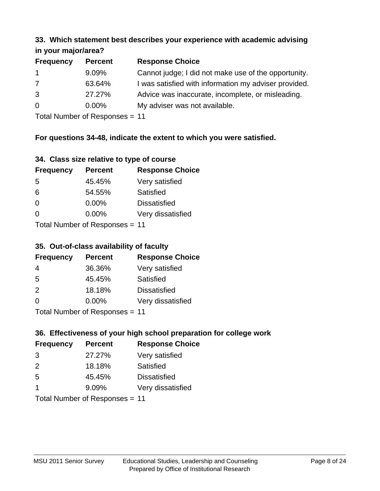#### **33. Which statement best describes your experience with academic advising in your major/area?**

| $\cdots$ your mapping out |                |                                                       |
|---------------------------|----------------|-------------------------------------------------------|
| <b>Frequency</b>          | <b>Percent</b> | <b>Response Choice</b>                                |
| $\mathbf 1$               | 9.09%          | Cannot judge; I did not make use of the opportunity.  |
| 7                         | 63.64%         | I was satisfied with information my adviser provided. |
| 3                         | 27.27%         | Advice was inaccurate, incomplete, or misleading.     |
| $\overline{0}$            | $0.00\%$       | My adviser was not available.                         |
|                           |                |                                                       |

Total Number of Responses = 11

## **For questions 34-48, indicate the extent to which you were satisfied.**

| 34. Class size relative to type of course |  |  |  |  |  |  |  |  |
|-------------------------------------------|--|--|--|--|--|--|--|--|
|-------------------------------------------|--|--|--|--|--|--|--|--|

| <b>Frequency</b> | <b>Percent</b>                 | <b>Response Choice</b> |
|------------------|--------------------------------|------------------------|
| -5               | 45.45%                         | Very satisfied         |
| 6                | 54.55%                         | Satisfied              |
| $\Omega$         | $0.00\%$                       | <b>Dissatisfied</b>    |
| $\Omega$         | $0.00\%$                       | Very dissatisfied      |
|                  | Total Number of Responses - 11 |                        |

Total Number of Responses = 11

### **35. Out-of-class availability of faculty**

| <b>Frequency</b> | <b>Percent</b> | <b>Response Choice</b> |
|------------------|----------------|------------------------|
| 4                | 36.36%         | Very satisfied         |
| 5                | 45.45%         | Satisfied              |
| 2                | 18.18%         | <b>Dissatisfied</b>    |
| $\Omega$         | 0.00%          | Very dissatisfied      |
|                  |                |                        |

Total Number of Responses = 11

## **36. Effectiveness of your high school preparation for college work**

| <b>Frequency</b> | <b>Percent</b>                  | <b>Response Choice</b> |
|------------------|---------------------------------|------------------------|
| 3                | 27.27%                          | Very satisfied         |
| $\mathcal{P}$    | 18.18%                          | Satisfied              |
| .5               | 45.45%                          | <b>Dissatisfied</b>    |
| -1               | 9.09%                           | Very dissatisfied      |
|                  | Total Number of Decononces - 11 |                        |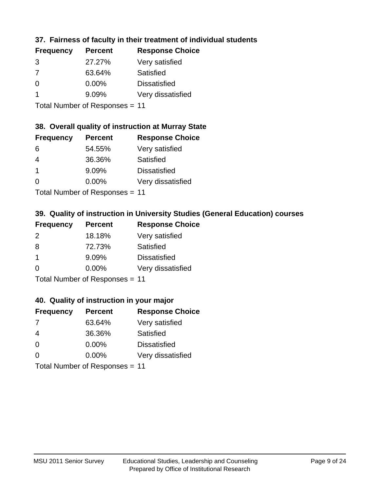## **37. Fairness of faculty in their treatment of individual students**

| <b>Frequency</b> | <b>Percent</b> | <b>Response Choice</b> |
|------------------|----------------|------------------------|
| 3                | 27.27%         | Very satisfied         |
| 7                | 63.64%         | Satisfied              |
| 0                | $0.00\%$       | <b>Dissatisfied</b>    |
|                  | 9.09%          | Very dissatisfied      |
|                  |                |                        |

Total Number of Responses = 11

### **38. Overall quality of instruction at Murray State**

| <b>Frequency</b> | <b>Percent</b> | <b>Response Choice</b> |
|------------------|----------------|------------------------|
| 6                | 54.55%         | Very satisfied         |
| 4                | 36.36%         | Satisfied              |
|                  | 9.09%          | <b>Dissatisfied</b>    |
| $\Omega$         | 0.00%          | Very dissatisfied      |
|                  |                |                        |

Total Number of Responses = 11

## **39. Quality of instruction in University Studies (General Education) courses**

| <b>Frequency</b> | <b>Percent</b> | <b>Response Choice</b> |
|------------------|----------------|------------------------|
| $\mathcal{P}$    | 18.18%         | Very satisfied         |
| 8                | 72.73%         | Satisfied              |
| -1               | 9.09%          | <b>Dissatisfied</b>    |
| $\Omega$         | 0.00%          | Very dissatisfied      |
|                  |                |                        |

Total Number of Responses = 11

#### **40. Quality of instruction in your major**

| <b>Frequency</b> | <b>Percent</b>                                                     | <b>Response Choice</b> |
|------------------|--------------------------------------------------------------------|------------------------|
| -7               | 63.64%                                                             | Very satisfied         |
| 4                | 36.36%                                                             | Satisfied              |
| $\Omega$         | 0.00%                                                              | <b>Dissatisfied</b>    |
| $\Omega$         | $0.00\%$                                                           | Very dissatisfied      |
|                  | $T$ at all Masseds and $R$ $\sim$ and $\sim$ and $\sim$ and $\sim$ |                        |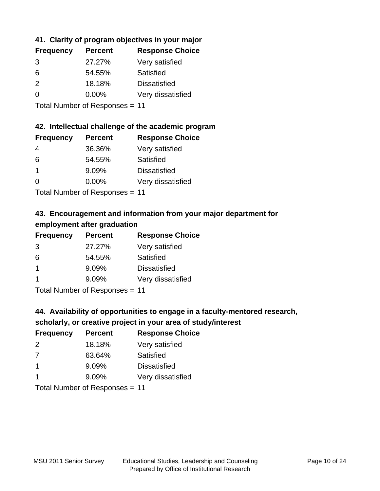## **41. Clarity of program objectives in your major**

| <b>Frequency</b> | <b>Percent</b> | <b>Response Choice</b> |
|------------------|----------------|------------------------|
| 3                | 27.27%         | Very satisfied         |
| 6                | 54.55%         | Satisfied              |
| $\mathcal{P}$    | 18.18%         | <b>Dissatisfied</b>    |
| $\Omega$         | $0.00\%$       | Very dissatisfied      |
|                  |                |                        |

Total Number of Responses = 11

### **42. Intellectual challenge of the academic program**

| <b>Frequency</b> | <b>Percent</b> | <b>Response Choice</b> |
|------------------|----------------|------------------------|
| 4                | 36.36%         | Very satisfied         |
| 6                | 54.55%         | Satisfied              |
|                  | 9.09%          | <b>Dissatisfied</b>    |
| $\Omega$         | 0.00%          | Very dissatisfied      |
|                  |                |                        |

Total Number of Responses = 11

## **43. Encouragement and information from your major department for employment after graduation**

| <b>Frequency</b>     | <b>Percent</b>                           | <b>Response Choice</b> |
|----------------------|------------------------------------------|------------------------|
| 3                    | 27.27%                                   | Very satisfied         |
| 6                    | 54.55%                                   | Satisfied              |
| $\mathbf 1$          | 9.09%                                    | <b>Dissatisfied</b>    |
| $\blacktriangleleft$ | 9.09%                                    | Very dissatisfied      |
|                      | $\mathbf{r}$ . The state of $\mathbf{r}$ |                        |

Total Number of Responses = 11

## **44. Availability of opportunities to engage in a faculty-mentored research,**

### **scholarly, or creative project in your area of study/interest**

| <b>Frequency</b> | <b>Percent</b> | <b>Response Choice</b> |
|------------------|----------------|------------------------|
| 2                | 18.18%         | Very satisfied         |
| 7                | 63.64%         | Satisfied              |
| $\mathbf 1$      | 9.09%          | <b>Dissatisfied</b>    |
|                  | 9.09%          | Very dissatisfied      |
|                  |                |                        |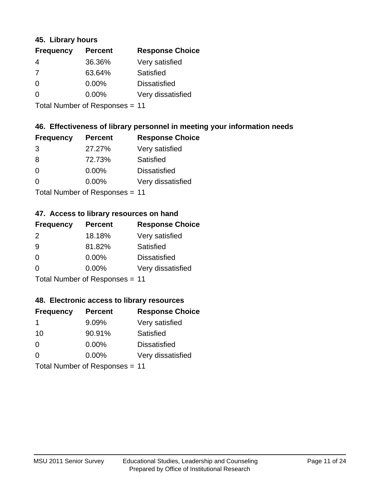### **45. Library hours**

| <b>Frequency</b> | <b>Percent</b> | <b>Response Choice</b> |
|------------------|----------------|------------------------|
| 4                | 36.36%         | Very satisfied         |
| 7                | 63.64%         | Satisfied              |
| $\Omega$         | $0.00\%$       | <b>Dissatisfied</b>    |
| $\Omega$         | $0.00\%$       | Very dissatisfied      |
|                  |                |                        |

Total Number of Responses = 11

## **46. Effectiveness of library personnel in meeting your information needs**

| <b>Frequency</b> | <b>Percent</b> | <b>Response Choice</b> |
|------------------|----------------|------------------------|
| 3                | 27.27%         | Very satisfied         |
| 8                | 72.73%         | Satisfied              |
| 0                | $0.00\%$       | <b>Dissatisfied</b>    |
| ∩                | 0.00%          | Very dissatisfied      |
|                  |                |                        |

Total Number of Responses = 11

### **47. Access to library resources on hand**

| <b>Frequency</b> | <b>Percent</b>             | <b>Response Choice</b> |
|------------------|----------------------------|------------------------|
| $\mathcal{P}$    | 18.18%                     | Very satisfied         |
| 9                | 81.82%                     | Satisfied              |
| $\Omega$         | $0.00\%$                   | <b>Dissatisfied</b>    |
| $\Omega$         | 0.00%                      | Very dissatisfied      |
|                  | Total Number of Deepersoon |                        |

Total Number of Responses = 11

### **48. Electronic access to library resources**

| <b>Frequency</b>               | <b>Percent</b> | <b>Response Choice</b> |
|--------------------------------|----------------|------------------------|
|                                | 9.09%          | Very satisfied         |
| 10                             | 90.91%         | Satisfied              |
| $\Omega$                       | $0.00\%$       | <b>Dissatisfied</b>    |
| $\Omega$                       | $0.00\%$       | Very dissatisfied      |
| Total Number of Responses = 11 |                |                        |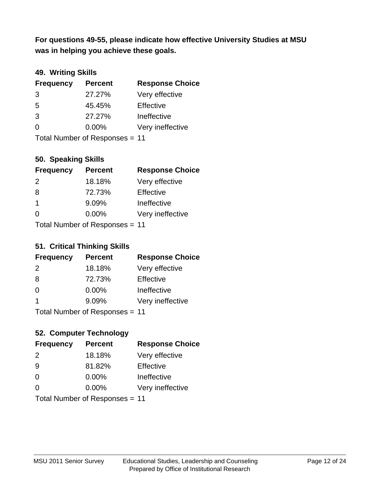**was in helping you achieve these goals. For questions 49-55, please indicate how effective University Studies at MSU** 

## **49. Writing Skills**

| <b>Frequency</b> | <b>Percent</b>                 | <b>Response Choice</b> |
|------------------|--------------------------------|------------------------|
| 3                | 27.27%                         | Very effective         |
| 5                | 45.45%                         | Effective              |
| 3                | 27.27%                         | Ineffective            |
| $\Omega$         | $0.00\%$                       | Very ineffective       |
|                  | Total Number of Responses = 11 |                        |

### **50. Speaking Skills**

| <b>Frequency</b> | <b>Percent</b>                 | <b>Response Choice</b> |
|------------------|--------------------------------|------------------------|
| $\mathcal{P}$    | 18.18%                         | Very effective         |
| 8                | 72.73%                         | Effective              |
| $\mathbf 1$      | 9.09%                          | Ineffective            |
| $\Omega$         | 0.00%                          | Very ineffective       |
|                  | Total Number of Responses = 11 |                        |

#### **51. Critical Thinking Skills**

| <b>Frequency</b> | <b>Percent</b>            | <b>Response Choice</b> |
|------------------|---------------------------|------------------------|
| 2                | 18.18%                    | Very effective         |
| 8                | 72.73%                    | Effective              |
| $\Omega$         | 0.00%                     | Ineffective            |
|                  | 9.09%                     | Very ineffective       |
|                  | Total Number of Deepensee |                        |

Total Number of Responses = 11

## **52. Computer Technology**

| <b>Frequency</b>               | <b>Percent</b> | <b>Response Choice</b> |
|--------------------------------|----------------|------------------------|
| $\mathcal{P}$                  | 18.18%         | Very effective         |
| 9                              | 81.82%         | Effective              |
| $\Omega$                       | $0.00\%$       | Ineffective            |
| $\Omega$                       | 0.00%          | Very ineffective       |
| Total Number of Responses = 11 |                |                        |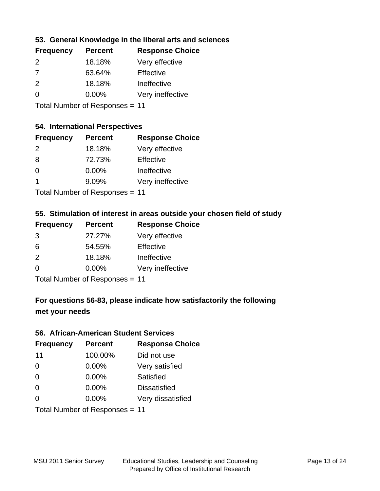## **53. General Knowledge in the liberal arts and sciences**

| <b>Frequency</b> | <b>Percent</b> | <b>Response Choice</b> |
|------------------|----------------|------------------------|
| $\mathcal{P}$    | 18.18%         | Very effective         |
| 7                | 63.64%         | Effective              |
| $\mathcal{P}$    | 18.18%         | Ineffective            |
| $\Omega$         | $0.00\%$       | Very ineffective       |
|                  |                |                        |

Total Number of Responses = 11

#### **54. International Perspectives**

| <b>Frequency</b> | <b>Percent</b> | <b>Response Choice</b> |
|------------------|----------------|------------------------|
| $\mathcal{P}$    | 18.18%         | Very effective         |
| 8                | 72.73%         | Effective              |
| $\Omega$         | 0.00%          | Ineffective            |
| 1                | 9.09%          | Very ineffective       |
|                  |                |                        |

Total Number of Responses = 11

### **55. Stimulation of interest in areas outside your chosen field of study**

| <b>Frequency</b> | <b>Percent</b>            | <b>Response Choice</b> |
|------------------|---------------------------|------------------------|
| 3                | 27.27%                    | Very effective         |
| 6                | 54.55%                    | Effective              |
| $\mathcal{P}$    | 18.18%                    | Ineffective            |
| $\Omega$         | 0.00%                     | Very ineffective       |
|                  | Total Number of Deepensee |                        |

Total Number of Responses = 11

## **For questions 56-83, please indicate how satisfactorily the following met your needs**

#### **56. African-American Student Services**

| <b>Frequency</b> | <b>Percent</b>                 | <b>Response Choice</b> |
|------------------|--------------------------------|------------------------|
| 11               | 100.00%                        | Did not use            |
| $\Omega$         | 0.00%                          | Very satisfied         |
| $\Omega$         | 0.00%                          | Satisfied              |
| $\Omega$         | 0.00%                          | <b>Dissatisfied</b>    |
| $\Omega$         | 0.00%                          | Very dissatisfied      |
|                  | Total Number of Responses = 11 |                        |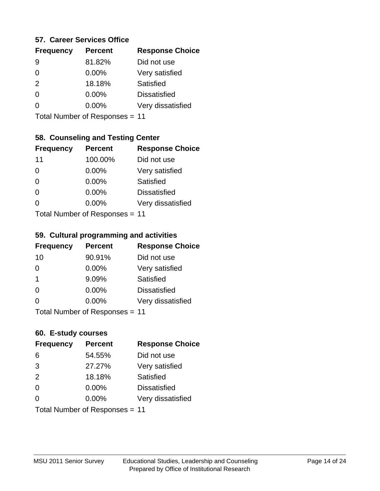### **57. Career Services Office**

| <b>Frequency</b> | <b>Percent</b> | <b>Response Choice</b> |
|------------------|----------------|------------------------|
| 9                | 81.82%         | Did not use            |
| 0                | 0.00%          | Very satisfied         |
| 2                | 18.18%         | Satisfied              |
| 0                | $0.00\%$       | <b>Dissatisfied</b>    |
|                  | $0.00\%$       | Very dissatisfied      |
|                  |                |                        |

Total Number of Responses = 11

## **58. Counseling and Testing Center**

| <b>Frequency</b>          | <b>Percent</b> | <b>Response Choice</b> |
|---------------------------|----------------|------------------------|
| 11                        | 100.00%        | Did not use            |
| 0                         | 0.00%          | Very satisfied         |
| $\Omega$                  | 0.00%          | <b>Satisfied</b>       |
| $\Omega$                  | 0.00%          | <b>Dissatisfied</b>    |
| 0                         | 0.00%          | Very dissatisfied      |
| Total Number of DoEROR 0. |                |                        |

Total Number of Responses = 11

#### **59. Cultural programming and activities**

| <b>Frequency</b> | <b>Percent</b>            | <b>Response Choice</b> |
|------------------|---------------------------|------------------------|
| 10               | 90.91%                    | Did not use            |
| $\Omega$         | $0.00\%$                  | Very satisfied         |
| -1               | 9.09%                     | Satisfied              |
| $\Omega$         | 0.00%                     | <b>Dissatisfied</b>    |
| $\Omega$         | $0.00\%$                  | Very dissatisfied      |
|                  | Total Number of DoEROR 0. |                        |

Total Number of Responses = 11

### **60. E-study courses**

| <b>Frequency</b> | <b>Percent</b>                 | <b>Response Choice</b> |
|------------------|--------------------------------|------------------------|
| 6                | 54.55%                         | Did not use            |
| 3                | 27.27%                         | Very satisfied         |
| 2                | 18.18%                         | Satisfied              |
| $\Omega$         | $0.00\%$                       | <b>Dissatisfied</b>    |
| $\Omega$         | $0.00\%$                       | Very dissatisfied      |
|                  | Total Number of Responses = 11 |                        |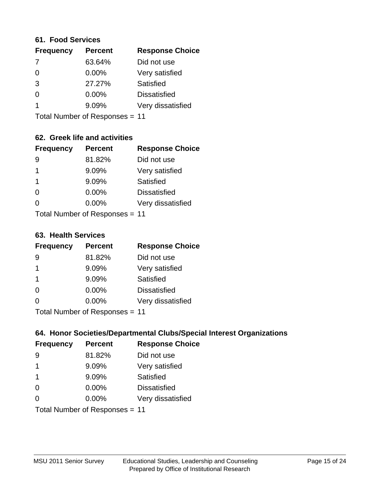#### **61. Food Services**

| <b>Frequency</b> | <b>Percent</b> | <b>Response Choice</b> |
|------------------|----------------|------------------------|
| 7                | 63.64%         | Did not use            |
| $\Omega$         | $0.00\%$       | Very satisfied         |
| 3                | 27.27%         | Satisfied              |
| 0                | 0.00%          | <b>Dissatisfied</b>    |
|                  | 9.09%          | Very dissatisfied      |
|                  |                |                        |

Total Number of Responses = 11

## **62. Greek life and activities**

| <b>Frequency</b>               | <b>Percent</b> | <b>Response Choice</b> |
|--------------------------------|----------------|------------------------|
| 9                              | 81.82%         | Did not use            |
| 1                              | 9.09%          | Very satisfied         |
| 1                              | 9.09%          | Satisfied              |
| 0                              | 0.00%          | <b>Dissatisfied</b>    |
|                                | $0.00\%$       | Very dissatisfied      |
| Total Number of Responses = 11 |                |                        |

#### **63. Health Services**

| <b>Frequency</b> | <b>Percent</b>             | <b>Response Choice</b> |
|------------------|----------------------------|------------------------|
| 9                | 81.82%                     | Did not use            |
| -1               | 9.09%                      | Very satisfied         |
| $\mathbf 1$      | 9.09%                      | Satisfied              |
| $\Omega$         | 0.00%                      | <b>Dissatisfied</b>    |
| $\Omega$         | 0.00%                      | Very dissatisfied      |
|                  | Total Number of Deepersoon |                        |

Total Number of Responses = 11

## **64. Honor Societies/Departmental Clubs/Special Interest Organizations**

| <b>Frequency</b> | <b>Percent</b>                 | <b>Response Choice</b> |
|------------------|--------------------------------|------------------------|
| -9               | 81.82%                         | Did not use            |
| $\mathbf 1$      | 9.09%                          | Very satisfied         |
| $\mathbf 1$      | 9.09%                          | Satisfied              |
| $\Omega$         | $0.00\%$                       | <b>Dissatisfied</b>    |
| $\Omega$         | 0.00%                          | Very dissatisfied      |
|                  | Total Number of Responses = 11 |                        |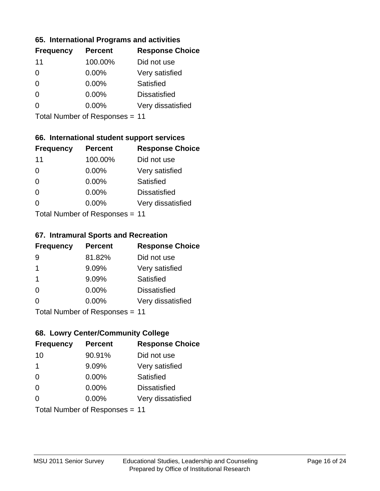### **65. International Programs and activities**

| <b>Frequency</b> | <b>Percent</b> | <b>Response Choice</b> |
|------------------|----------------|------------------------|
| 11               | 100.00%        | Did not use            |
| 0                | 0.00%          | Very satisfied         |
| 0                | $0.00\%$       | Satisfied              |
| 0                | $0.00\%$       | <b>Dissatisfied</b>    |
|                  | $0.00\%$       | Very dissatisfied      |
|                  |                |                        |

Total Number of Responses = 11

## **66. International student support services**

| <b>Frequency</b>          | <b>Percent</b> | <b>Response Choice</b> |
|---------------------------|----------------|------------------------|
| 11                        | 100.00%        | Did not use            |
| $\Omega$                  | 0.00%          | Very satisfied         |
| $\Omega$                  | $0.00\%$       | Satisfied              |
| $\Omega$                  | 0.00%          | <b>Dissatisfied</b>    |
| 0                         | 0.00%          | Very dissatisfied      |
| Total Number of DoEROR 0. |                |                        |

Total Number of Responses = 11

### **67. Intramural Sports and Recreation**

| <b>Frequency</b> | <b>Percent</b>                   | <b>Response Choice</b> |
|------------------|----------------------------------|------------------------|
| 9                | 81.82%                           | Did not use            |
| -1               | 9.09%                            | Very satisfied         |
| -1               | 9.09%                            | Satisfied              |
| $\Omega$         | 0.00%                            | <b>Dissatisfied</b>    |
| $\Omega$         | 0.00%                            | Very dissatisfied      |
|                  | $Total Number of Doeponeoc = 11$ |                        |

Total Number of Responses = 11

## **68. Lowry Center/Community College**

| <b>Frequency</b> | <b>Percent</b>                 | <b>Response Choice</b> |
|------------------|--------------------------------|------------------------|
| 10               | 90.91%                         | Did not use            |
| 1                | 9.09%                          | Very satisfied         |
| $\Omega$         | 0.00%                          | Satisfied              |
| $\Omega$         | $0.00\%$                       | <b>Dissatisfied</b>    |
| $\Omega$         | 0.00%                          | Very dissatisfied      |
|                  | Total Number of Responses = 11 |                        |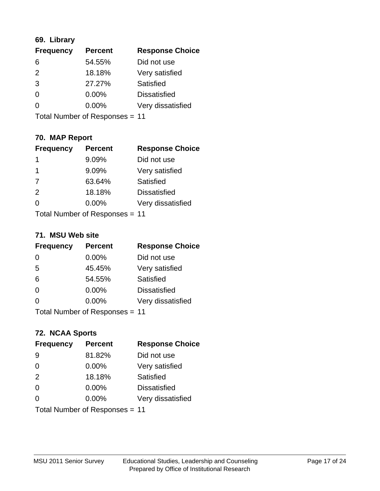## **69. Library**

| <b>Frequency</b> | <b>Percent</b> | <b>Response Choice</b> |
|------------------|----------------|------------------------|
| 6                | 54.55%         | Did not use            |
| 2                | 18.18%         | Very satisfied         |
| 3                | 27.27%         | Satisfied              |
| 0                | 0.00%          | <b>Dissatisfied</b>    |
| $\overline{0}$   | 0.00%          | Very dissatisfied      |
|                  |                |                        |

Total Number of Responses = 11

## **70. MAP Report**

| <b>Frequency</b> | <b>Percent</b>                 | <b>Response Choice</b> |
|------------------|--------------------------------|------------------------|
| 1                | 9.09%                          | Did not use            |
| 1                | 9.09%                          | Very satisfied         |
| 7                | 63.64%                         | Satisfied              |
| 2                | 18.18%                         | <b>Dissatisfied</b>    |
| ∩                | $0.00\%$                       | Very dissatisfied      |
|                  | Total Number of Responses = 11 |                        |

### **71. MSU Web site**

| <b>Frequency</b>               | <b>Percent</b> | <b>Response Choice</b> |
|--------------------------------|----------------|------------------------|
| $\Omega$                       | $0.00\%$       | Did not use            |
| 5                              | 45.45%         | Very satisfied         |
| 6                              | 54.55%         | Satisfied              |
| $\Omega$                       | 0.00%          | <b>Dissatisfied</b>    |
| $\Omega$                       | 0.00%          | Very dissatisfied      |
| Total Number of Responses = 11 |                |                        |

## **72. NCAA Sports**

| <b>Frequency</b>               | <b>Percent</b> | <b>Response Choice</b> |
|--------------------------------|----------------|------------------------|
| 9                              | 81.82%         | Did not use            |
| $\Omega$                       | 0.00%          | Very satisfied         |
| 2                              | 18.18%         | Satisfied              |
| $\Omega$                       | 0.00%          | <b>Dissatisfied</b>    |
| $\Omega$                       | $0.00\%$       | Very dissatisfied      |
| Total Number of Responses = 11 |                |                        |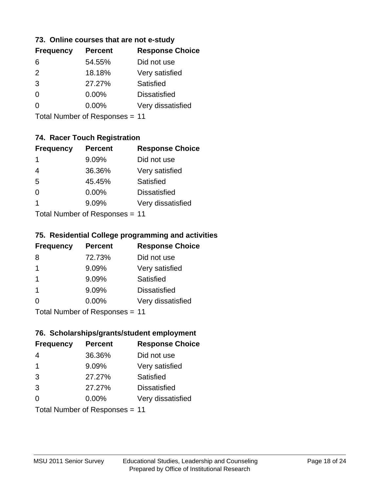### **73. Online courses that are not e-study**

| <b>Frequency</b> | <b>Percent</b> | <b>Response Choice</b> |
|------------------|----------------|------------------------|
| 6                | 54.55%         | Did not use            |
| $\mathcal{P}$    | 18.18%         | Very satisfied         |
| 3                | 27.27%         | Satisfied              |
| ∩                | $0.00\%$       | <b>Dissatisfied</b>    |
|                  | $0.00\%$       | Very dissatisfied      |
|                  |                |                        |

Total Number of Responses = 11

## **74. Racer Touch Registration**

| <b>Frequency</b>           | <b>Percent</b> | <b>Response Choice</b> |  |
|----------------------------|----------------|------------------------|--|
| 1                          | 9.09%          | Did not use            |  |
| 4                          | 36.36%         | Very satisfied         |  |
| 5                          | 45.45%         | Satisfied              |  |
| 0                          | $0.00\%$       | <b>Dissatisfied</b>    |  |
| 1                          | 9.09%          | Very dissatisfied      |  |
| Total Number of Deepersoon |                |                        |  |

Total Number of Responses = 11

## **75. Residential College programming and activities**

| <b>Frequency</b>                 | <b>Percent</b> | <b>Response Choice</b> |
|----------------------------------|----------------|------------------------|
| 8                                | 72.73%         | Did not use            |
| -1                               | 9.09%          | Very satisfied         |
| -1                               | 9.09%          | Satisfied              |
| -1                               | 9.09%          | <b>Dissatisfied</b>    |
| $\Omega$                         | 0.00%          | Very dissatisfied      |
| $Total Number of Doeponeoc = 11$ |                |                        |

Total Number of Responses = 11

### **76. Scholarships/grants/student employment**

| <b>Frequency</b>               | <b>Percent</b> | <b>Response Choice</b> |
|--------------------------------|----------------|------------------------|
| 4                              | 36.36%         | Did not use            |
| $\mathbf 1$                    | 9.09%          | Very satisfied         |
| 3                              | 27.27%         | Satisfied              |
| 3                              | 27.27%         | <b>Dissatisfied</b>    |
| $\Omega$                       | $0.00\%$       | Very dissatisfied      |
| Total Number of Responses = 11 |                |                        |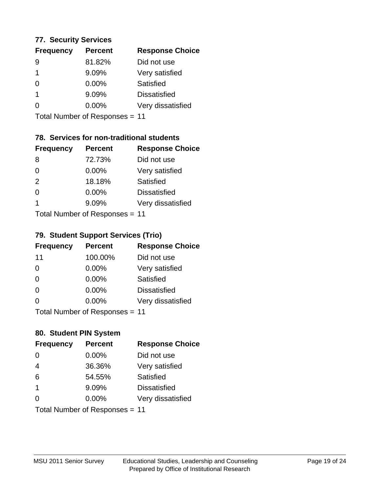### **77. Security Services**

| <b>Percent</b> | <b>Response Choice</b> |
|----------------|------------------------|
| 81.82%         | Did not use            |
| 9.09%          | Very satisfied         |
| $0.00\%$       | Satisfied              |
| 9.09%          | <b>Dissatisfied</b>    |
| $0.00\%$       | Very dissatisfied      |
|                |                        |

Total Number of Responses = 11

## **78. Services for non-traditional students**

| <b>Frequency</b>          | <b>Percent</b> | <b>Response Choice</b> |
|---------------------------|----------------|------------------------|
| 8                         | 72.73%         | Did not use            |
| $\Omega$                  | 0.00%          | Very satisfied         |
| 2                         | 18.18%         | <b>Satisfied</b>       |
| $\Omega$                  | 0.00%          | <b>Dissatisfied</b>    |
| 1                         | 9.09%          | Very dissatisfied      |
| Total Number of DoEROR 0. |                |                        |

Total Number of Responses = 11

## **79. Student Support Services (Trio)**

| <b>Frequency</b>            | <b>Percent</b> | <b>Response Choice</b> |
|-----------------------------|----------------|------------------------|
| 11                          | 100.00%        | Did not use            |
| $\Omega$                    | $0.00\%$       | Very satisfied         |
| $\Omega$                    | $0.00\%$       | Satisfied              |
| $\Omega$                    | 0.00%          | <b>Dissatisfied</b>    |
| 0                           | $0.00\%$       | Very dissatisfied      |
| Total Number of Do <b>6</b> |                |                        |

Total Number of Responses = 11

### **80. Student PIN System**

| <b>Frequency</b>               | <b>Percent</b> | <b>Response Choice</b> |
|--------------------------------|----------------|------------------------|
| $\Omega$                       | $0.00\%$       | Did not use            |
| $\overline{4}$                 | 36.36%         | Very satisfied         |
| 6                              | 54.55%         | Satisfied              |
| $\overline{\mathbf{1}}$        | 9.09%          | <b>Dissatisfied</b>    |
| $\Omega$                       | $0.00\%$       | Very dissatisfied      |
| Total Number of Responses = 11 |                |                        |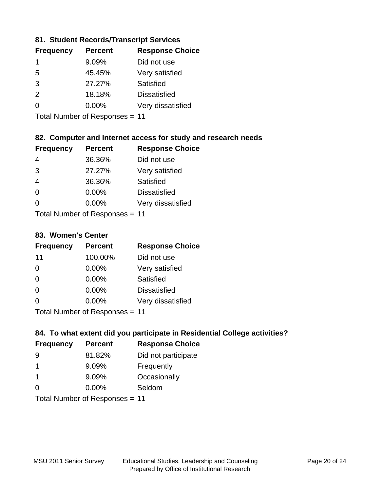## **81. Student Records/Transcript Services**

| <b>Percent</b> | <b>Response Choice</b> |
|----------------|------------------------|
| 9.09%          | Did not use            |
| 45.45%         | Very satisfied         |
| 27.27%         | Satisfied              |
| 18.18%         | <b>Dissatisfied</b>    |
| $0.00\%$       | Very dissatisfied      |
|                |                        |

Total Number of Responses = 11

## **82. Computer and Internet access for study and research needs**

| <b>Frequency</b>          | <b>Percent</b> | <b>Response Choice</b> |
|---------------------------|----------------|------------------------|
| 4                         | 36.36%         | Did not use            |
| 3                         | 27.27%         | Very satisfied         |
| $\overline{4}$            | 36.36%         | Satisfied              |
| $\Omega$                  | 0.00%          | <b>Dissatisfied</b>    |
| ∩                         | 0.00%          | Very dissatisfied      |
| Total Number of Deepersee |                |                        |

Total Number of Responses = 11

#### **83. Women's Center**

| <b>Frequency</b>          | <b>Percent</b> | <b>Response Choice</b> |  |
|---------------------------|----------------|------------------------|--|
| 11                        | 100.00%        | Did not use            |  |
| $\Omega$                  | $0.00\%$       | Very satisfied         |  |
| $\Omega$                  | 0.00%          | Satisfied              |  |
| $\Omega$                  | 0.00%          | <b>Dissatisfied</b>    |  |
| ∩                         | 0.00%          | Very dissatisfied      |  |
| Total Number of Deepersee |                |                        |  |

Total Number of Responses = 11

## **84. To what extent did you participate in Residential College activities?**

| <b>Frequency</b>          | <b>Percent</b> | <b>Response Choice</b> |
|---------------------------|----------------|------------------------|
| 9                         | 81.82%         | Did not participate    |
|                           | 9.09%          | Frequently             |
| -1                        | 9.09%          | Occasionally           |
| ∩                         | 0.00%          | Seldom                 |
| Total Number of Desponses |                |                        |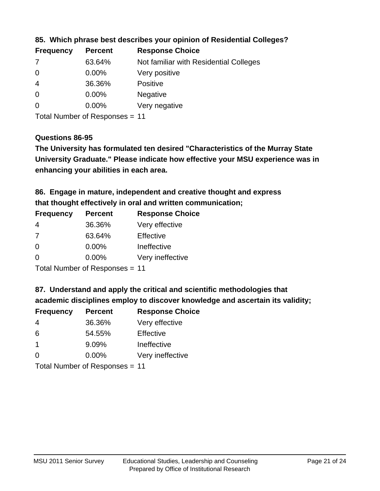| <b>Frequency</b> | <b>Percent</b> | <b>Response Choice</b>                 |
|------------------|----------------|----------------------------------------|
| -7               | 63.64%         | Not familiar with Residential Colleges |
| $\overline{0}$   | $0.00\%$       | Very positive                          |
| -4               | 36.36%         | <b>Positive</b>                        |
| $\overline{0}$   | $0.00\%$       | <b>Negative</b>                        |
| 0                | $0.00\%$       | Very negative                          |

### **85. Which phrase best describes your opinion of Residential Colleges?**

Total Number of Responses = 11

#### **Questions 86-95**

**University Graduate." Please indicate how effective your MSU experience was in The University has formulated ten desired "Characteristics of the Murray State enhancing your abilities in each area.**

**86. Engage in mature, independent and creative thought and express that thought effectively in oral and written communication;**

| <b>Percent</b> | <b>Response Choice</b> |
|----------------|------------------------|
| 36.36%         | Very effective         |
| 63.64%         | Effective              |
| 0.00%          | Ineffective            |
| $0.00\%$       | Very ineffective       |
|                |                        |

Total Number of Responses = 11

**87. Understand and apply the critical and scientific methodologies that** 

**academic disciplines employ to discover knowledge and ascertain its validity;**

| <b>Frequency</b> | <b>Percent</b> | <b>Response Choice</b> |
|------------------|----------------|------------------------|
| 4                | 36.36%         | Very effective         |
| 6                | 54.55%         | Effective              |
| $\mathbf 1$      | 9.09%          | Ineffective            |
| $\Omega$         | 0.00%          | Very ineffective       |
|                  |                |                        |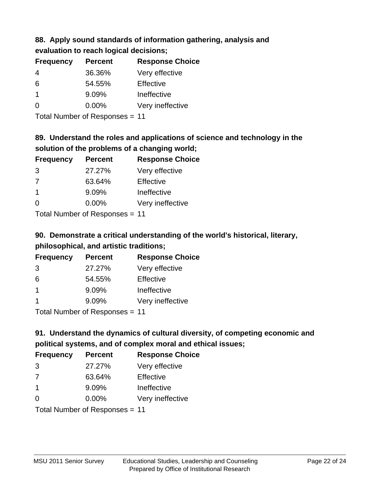## **88. Apply sound standards of information gathering, analysis and evaluation to reach logical decisions;**

| <b>Frequency</b> | <b>Percent</b> | <b>Response Choice</b> |
|------------------|----------------|------------------------|
| 4                | 36.36%         | Very effective         |
| 6                | 54.55%         | Effective              |
| 1                | 9.09%          | Ineffective            |
| $\Omega$         | $0.00\%$       | Very ineffective       |
|                  |                |                        |

Total Number of Responses = 11

## **89. Understand the roles and applications of science and technology in the solution of the problems of a changing world;**

| <b>Frequency</b> | <b>Percent</b>             | <b>Response Choice</b> |
|------------------|----------------------------|------------------------|
| 3                | 27.27%                     | Very effective         |
| 7                | 63.64%                     | Effective              |
| $\overline{1}$   | 9.09%                      | Ineffective            |
| $\Omega$         | 0.00%                      | Very ineffective       |
|                  | Tatal Manakan af Dagmanage |                        |

Total Number of Responses = 11

# **90. Demonstrate a critical understanding of the world's historical, literary, philosophical, and artistic traditions;**

| <b>Frequency</b> | <b>Percent</b> | <b>Response Choice</b> |
|------------------|----------------|------------------------|
| 3                | 27.27%         | Very effective         |
| 6                | 54.55%         | Effective              |
| $\mathbf 1$      | 9.09%          | Ineffective            |
|                  | 9.09%          | Very ineffective       |
|                  |                |                        |

Total Number of Responses = 11

# **91. Understand the dynamics of cultural diversity, of competing economic and political systems, and of complex moral and ethical issues;**

| <b>Frequency</b>               | <b>Percent</b> | <b>Response Choice</b> |
|--------------------------------|----------------|------------------------|
| 3                              | 27.27%         | Very effective         |
| 7                              | 63.64%         | Effective              |
| $\mathbf 1$                    | 9.09%          | Ineffective            |
| $\Omega$                       | $0.00\%$       | Very ineffective       |
| Total Number of Responses = 11 |                |                        |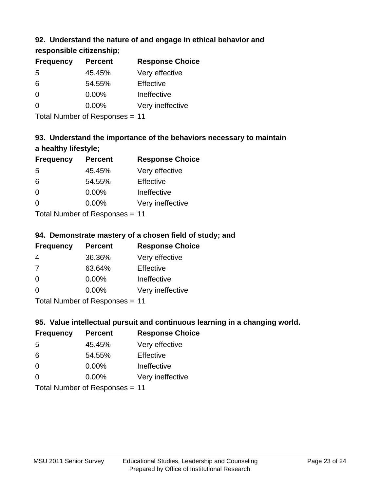## **92. Understand the nature of and engage in ethical behavior and**

**responsible citizenship;**

| <b>Percent</b> | <b>Response Choice</b> |
|----------------|------------------------|
| 45.45%         | Very effective         |
| 54.55%         | Effective              |
| $0.00\%$       | Ineffective            |
| $0.00\%$       | Very ineffective       |
|                |                        |

Total Number of Responses = 11

# **93. Understand the importance of the behaviors necessary to maintain a healthy lifestyle;**

| <b>Frequency</b> | <b>Percent</b>                 | <b>Response Choice</b> |
|------------------|--------------------------------|------------------------|
| 5                | 45.45%                         | Very effective         |
| 6                | 54.55%                         | Effective              |
| $\Omega$         | $0.00\%$                       | Ineffective            |
| $\Omega$         | 0.00%                          | Very ineffective       |
|                  | Tatal Manufacture Construction |                        |

Total Number of Responses = 11

## **94. Demonstrate mastery of a chosen field of study; and**

| <b>Frequency</b> | <b>Percent</b> | <b>Response Choice</b> |
|------------------|----------------|------------------------|
| 4                | 36.36%         | Very effective         |
| 7                | 63.64%         | Effective              |
| $\Omega$         | 0.00%          | Ineffective            |
| ∩                | 0.00%          | Very ineffective       |
|                  |                |                        |

Total Number of Responses = 11

## **95. Value intellectual pursuit and continuous learning in a changing world.**

| <b>Frequency</b> | <b>Percent</b>             | <b>Response Choice</b> |
|------------------|----------------------------|------------------------|
| -5               | 45.45%                     | Very effective         |
| 6                | 54.55%                     | Effective              |
| $\Omega$         | $0.00\%$                   | Ineffective            |
| $\Omega$         | 0.00%                      | Very ineffective       |
|                  | Tatal Number of Desperance |                        |